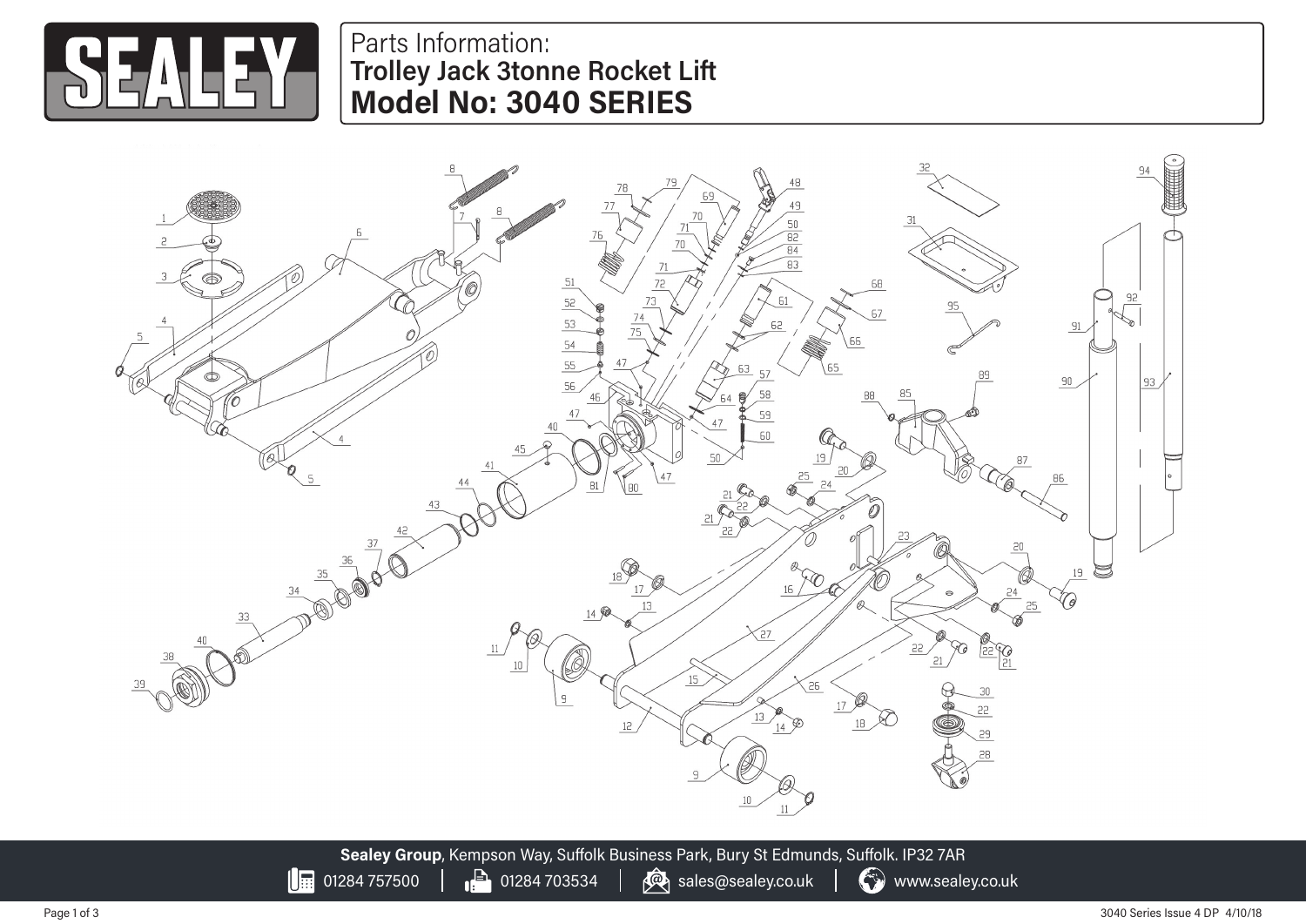

## Parts Information: **Trolley Jack 3tonne Rocket Lift Model No: 3040 SERIES**

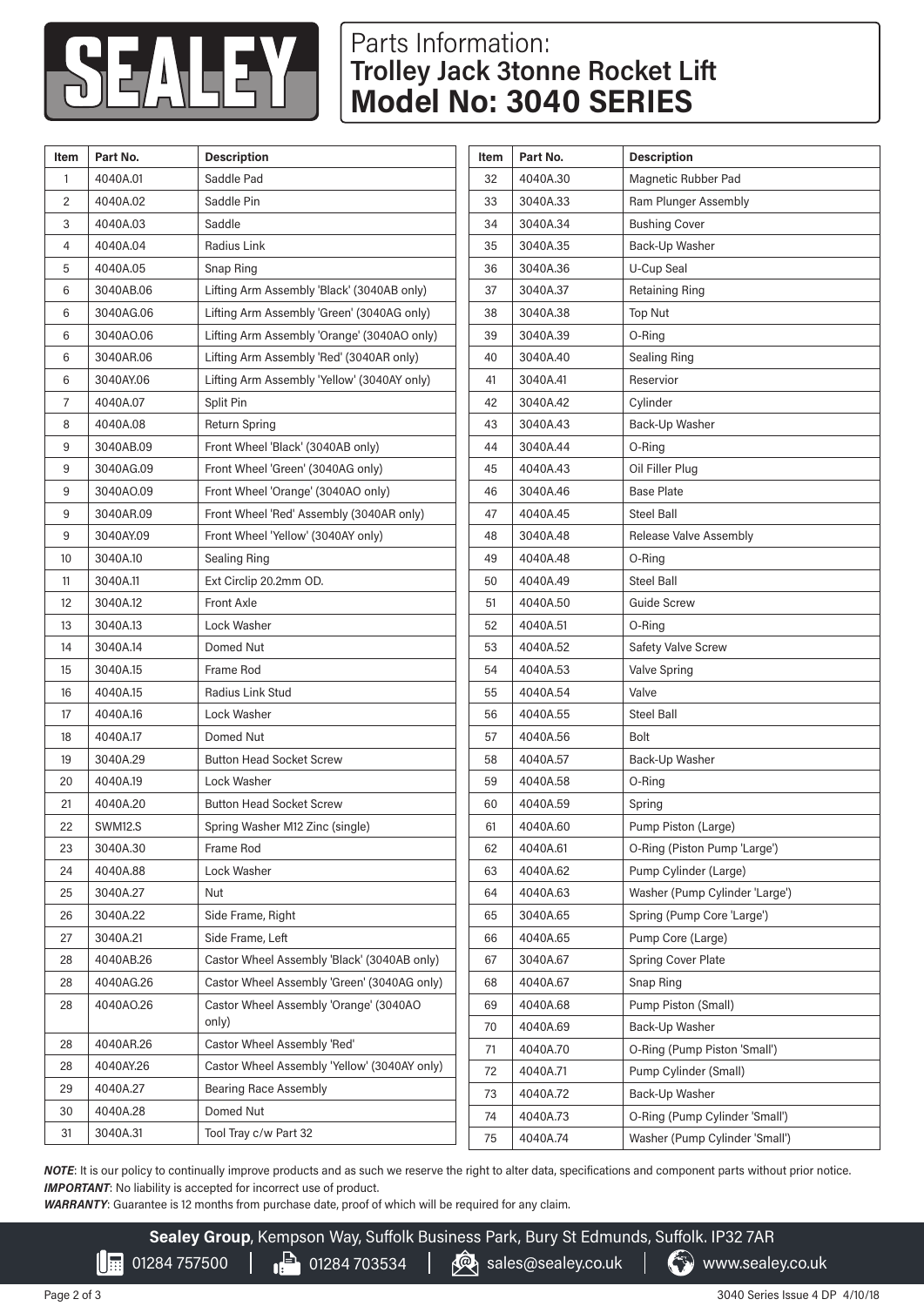

## Parts Information: **Trolley Jack 3tonne Rocket Lift Model No: 3040 SERIES**

| 4040A.01<br>Saddle Pad<br>Magnetic Rubber Pad<br>4040A.30<br>32<br>1<br>$\overline{c}$<br>4040A.02<br>Saddle Pin<br>33<br>3040A.33<br>Ram Plunger Assembly<br><b>Bushing Cover</b><br>3<br>4040A.03<br>Saddle<br>3040A.34<br>34<br>Radius Link<br>4040A.04<br>35<br>3040A.35<br>Back-Up Washer<br>4<br>U-Cup Seal<br>5<br>4040A.05<br>Snap Ring<br>36<br>3040A.36<br>Lifting Arm Assembly 'Black' (3040AB only)<br>3040AB.06<br>3040A.37<br><b>Retaining Ring</b><br>6<br>37<br>3040AG.06<br>Lifting Arm Assembly 'Green' (3040AG only)<br>38<br>3040A.38<br>Top Nut<br>6<br>Lifting Arm Assembly 'Orange' (3040AO only)<br>3040AO.06<br>3040A.39<br>O-Ring<br>6<br>39<br>Lifting Arm Assembly 'Red' (3040AR only)<br>6<br>3040AR.06<br>40<br>3040A.40<br>Sealing Ring<br>Lifting Arm Assembly 'Yellow' (3040AY only)<br>Reservior<br>6<br>3040AY.06<br>41<br>3040A.41<br>4040A.07<br>42<br>3040A.42<br>Cylinder<br>7<br>Split Pin<br>8<br>4040A.08<br><b>Return Spring</b><br>3040A.43<br>Back-Up Washer<br>43<br>9<br>3040AB.09<br>Front Wheel 'Black' (3040AB only)<br>3040A.44<br>44<br>O-Ring<br>9<br>3040AG.09<br>Front Wheel 'Green' (3040AG only)<br>4040A.43<br>Oil Filler Plug<br>45<br><b>Base Plate</b><br>Front Wheel 'Orange' (3040AO only)<br>9<br>3040AO.09<br>46<br>3040A.46<br>9<br>3040AR.09<br>Front Wheel 'Red' Assembly (3040AR only)<br>4040A.45<br><b>Steel Ball</b><br>47<br>9<br>3040AY.09<br>Front Wheel 'Yellow' (3040AY only)<br>3040A.48<br>Release Valve Assembly<br>48<br>3040A.10<br>4040A.48<br>10<br><b>Sealing Ring</b><br>49<br>O-Ring<br>3040A.11<br>Ext Circlip 20.2mm OD.<br>4040A.49<br>Steel Ball<br>11<br>50<br>Front Axle<br>12<br>3040A.12<br>51<br>4040A.50<br>Guide Screw<br>3040A.13<br>Lock Washer<br>52<br>4040A.51<br>O-Ring<br>13<br>3040A.14<br>Safety Valve Screw<br>14<br>Domed Nut<br>53<br>4040A.52<br>3040A.15<br>Frame Rod<br>4040A.53<br>15<br>54<br><b>Valve Spring</b><br>Valve<br>4040A.15<br><b>Radius Link Stud</b><br>4040A.54<br>16<br>55<br>17<br>4040A.16<br>Lock Washer<br>56<br>4040A.55<br>Steel Ball<br>4040A.17<br>Domed Nut<br>4040A.56<br><b>Bolt</b><br>18<br>57<br>3040A.29<br><b>Button Head Socket Screw</b><br>Back-Up Washer<br>19<br>58<br>4040A.57<br>4040A.19<br>Lock Washer<br>4040A.58<br>20<br>59<br>O-Ring<br>4040A.20<br><b>Button Head Socket Screw</b><br>4040A.59<br>21<br>60<br>Spring<br>22<br>Pump Piston (Large)<br>SWM12.S<br>Spring Washer M12 Zinc (single)<br>61<br>4040A.60<br>3040A.30<br>Frame Rod<br>62<br>4040A.61<br>23<br>4040A.88<br>Lock Washer<br>4040A.62<br>Pump Cylinder (Large)<br>24<br>63<br>3040A.27<br>4040A.63<br>25<br>Nut<br>64<br>3040A.22<br>Side Frame, Right<br>3040A.65<br>Spring (Pump Core 'Large')<br>26<br>65<br>3040A.21<br>4040A.65<br>Pump Core (Large)<br>27<br>Side Frame, Left<br>66<br>4040AB.26<br>Castor Wheel Assembly 'Black' (3040AB only)<br>3040A.67<br><b>Spring Cover Plate</b><br>28<br>67<br>4040AG.26<br>Castor Wheel Assembly 'Green' (3040AG only)<br>4040A.67<br>28<br>68<br>Snap Ring<br>4040AO.26<br>Castor Wheel Assembly 'Orange' (3040AO<br>4040A.68<br>Pump Piston (Small)<br>28<br>69<br>only)<br>4040A.69<br>Back-Up Washer<br>70<br>Castor Wheel Assembly 'Red'<br>4040AR.26<br>28<br>4040A.70<br>O-Ring (Pump Piston 'Small')<br>71<br>4040AY.26<br>Castor Wheel Assembly 'Yellow' (3040AY only)<br>28<br>72<br>4040A.71<br>Pump Cylinder (Small)<br>4040A.27<br>29<br><b>Bearing Race Assembly</b><br>Back-Up Washer<br>73<br>4040A.72<br>4040A.28<br>Domed Nut<br>30<br>4040A.73<br>74<br>Tool Tray c/w Part 32<br>3040A.31<br>31<br>4040A.74<br>75 | Item | Part No. | <b>Description</b> | Item | Part No. | <b>Description</b>             |
|--------------------------------------------------------------------------------------------------------------------------------------------------------------------------------------------------------------------------------------------------------------------------------------------------------------------------------------------------------------------------------------------------------------------------------------------------------------------------------------------------------------------------------------------------------------------------------------------------------------------------------------------------------------------------------------------------------------------------------------------------------------------------------------------------------------------------------------------------------------------------------------------------------------------------------------------------------------------------------------------------------------------------------------------------------------------------------------------------------------------------------------------------------------------------------------------------------------------------------------------------------------------------------------------------------------------------------------------------------------------------------------------------------------------------------------------------------------------------------------------------------------------------------------------------------------------------------------------------------------------------------------------------------------------------------------------------------------------------------------------------------------------------------------------------------------------------------------------------------------------------------------------------------------------------------------------------------------------------------------------------------------------------------------------------------------------------------------------------------------------------------------------------------------------------------------------------------------------------------------------------------------------------------------------------------------------------------------------------------------------------------------------------------------------------------------------------------------------------------------------------------------------------------------------------------------------------------------------------------------------------------------------------------------------------------------------------------------------------------------------------------------------------------------------------------------------------------------------------------------------------------------------------------------------------------------------------------------------------------------------------------------------------------------------------------------------------------------------------------------------------------------------------------------------------------------------------------------------------------------------------------------------------------------------------------------------------------------------------------------------------------------------------------------------------------------------------------------------------------------------------------------------------------------------------------------------------------------------------------------------------|------|----------|--------------------|------|----------|--------------------------------|
|                                                                                                                                                                                                                                                                                                                                                                                                                                                                                                                                                                                                                                                                                                                                                                                                                                                                                                                                                                                                                                                                                                                                                                                                                                                                                                                                                                                                                                                                                                                                                                                                                                                                                                                                                                                                                                                                                                                                                                                                                                                                                                                                                                                                                                                                                                                                                                                                                                                                                                                                                                                                                                                                                                                                                                                                                                                                                                                                                                                                                                                                                                                                                                                                                                                                                                                                                                                                                                                                                                                                                                                                                          |      |          |                    |      |          |                                |
|                                                                                                                                                                                                                                                                                                                                                                                                                                                                                                                                                                                                                                                                                                                                                                                                                                                                                                                                                                                                                                                                                                                                                                                                                                                                                                                                                                                                                                                                                                                                                                                                                                                                                                                                                                                                                                                                                                                                                                                                                                                                                                                                                                                                                                                                                                                                                                                                                                                                                                                                                                                                                                                                                                                                                                                                                                                                                                                                                                                                                                                                                                                                                                                                                                                                                                                                                                                                                                                                                                                                                                                                                          |      |          |                    |      |          |                                |
|                                                                                                                                                                                                                                                                                                                                                                                                                                                                                                                                                                                                                                                                                                                                                                                                                                                                                                                                                                                                                                                                                                                                                                                                                                                                                                                                                                                                                                                                                                                                                                                                                                                                                                                                                                                                                                                                                                                                                                                                                                                                                                                                                                                                                                                                                                                                                                                                                                                                                                                                                                                                                                                                                                                                                                                                                                                                                                                                                                                                                                                                                                                                                                                                                                                                                                                                                                                                                                                                                                                                                                                                                          |      |          |                    |      |          |                                |
|                                                                                                                                                                                                                                                                                                                                                                                                                                                                                                                                                                                                                                                                                                                                                                                                                                                                                                                                                                                                                                                                                                                                                                                                                                                                                                                                                                                                                                                                                                                                                                                                                                                                                                                                                                                                                                                                                                                                                                                                                                                                                                                                                                                                                                                                                                                                                                                                                                                                                                                                                                                                                                                                                                                                                                                                                                                                                                                                                                                                                                                                                                                                                                                                                                                                                                                                                                                                                                                                                                                                                                                                                          |      |          |                    |      |          |                                |
|                                                                                                                                                                                                                                                                                                                                                                                                                                                                                                                                                                                                                                                                                                                                                                                                                                                                                                                                                                                                                                                                                                                                                                                                                                                                                                                                                                                                                                                                                                                                                                                                                                                                                                                                                                                                                                                                                                                                                                                                                                                                                                                                                                                                                                                                                                                                                                                                                                                                                                                                                                                                                                                                                                                                                                                                                                                                                                                                                                                                                                                                                                                                                                                                                                                                                                                                                                                                                                                                                                                                                                                                                          |      |          |                    |      |          |                                |
|                                                                                                                                                                                                                                                                                                                                                                                                                                                                                                                                                                                                                                                                                                                                                                                                                                                                                                                                                                                                                                                                                                                                                                                                                                                                                                                                                                                                                                                                                                                                                                                                                                                                                                                                                                                                                                                                                                                                                                                                                                                                                                                                                                                                                                                                                                                                                                                                                                                                                                                                                                                                                                                                                                                                                                                                                                                                                                                                                                                                                                                                                                                                                                                                                                                                                                                                                                                                                                                                                                                                                                                                                          |      |          |                    |      |          |                                |
|                                                                                                                                                                                                                                                                                                                                                                                                                                                                                                                                                                                                                                                                                                                                                                                                                                                                                                                                                                                                                                                                                                                                                                                                                                                                                                                                                                                                                                                                                                                                                                                                                                                                                                                                                                                                                                                                                                                                                                                                                                                                                                                                                                                                                                                                                                                                                                                                                                                                                                                                                                                                                                                                                                                                                                                                                                                                                                                                                                                                                                                                                                                                                                                                                                                                                                                                                                                                                                                                                                                                                                                                                          |      |          |                    |      |          |                                |
|                                                                                                                                                                                                                                                                                                                                                                                                                                                                                                                                                                                                                                                                                                                                                                                                                                                                                                                                                                                                                                                                                                                                                                                                                                                                                                                                                                                                                                                                                                                                                                                                                                                                                                                                                                                                                                                                                                                                                                                                                                                                                                                                                                                                                                                                                                                                                                                                                                                                                                                                                                                                                                                                                                                                                                                                                                                                                                                                                                                                                                                                                                                                                                                                                                                                                                                                                                                                                                                                                                                                                                                                                          |      |          |                    |      |          |                                |
|                                                                                                                                                                                                                                                                                                                                                                                                                                                                                                                                                                                                                                                                                                                                                                                                                                                                                                                                                                                                                                                                                                                                                                                                                                                                                                                                                                                                                                                                                                                                                                                                                                                                                                                                                                                                                                                                                                                                                                                                                                                                                                                                                                                                                                                                                                                                                                                                                                                                                                                                                                                                                                                                                                                                                                                                                                                                                                                                                                                                                                                                                                                                                                                                                                                                                                                                                                                                                                                                                                                                                                                                                          |      |          |                    |      |          |                                |
|                                                                                                                                                                                                                                                                                                                                                                                                                                                                                                                                                                                                                                                                                                                                                                                                                                                                                                                                                                                                                                                                                                                                                                                                                                                                                                                                                                                                                                                                                                                                                                                                                                                                                                                                                                                                                                                                                                                                                                                                                                                                                                                                                                                                                                                                                                                                                                                                                                                                                                                                                                                                                                                                                                                                                                                                                                                                                                                                                                                                                                                                                                                                                                                                                                                                                                                                                                                                                                                                                                                                                                                                                          |      |          |                    |      |          |                                |
|                                                                                                                                                                                                                                                                                                                                                                                                                                                                                                                                                                                                                                                                                                                                                                                                                                                                                                                                                                                                                                                                                                                                                                                                                                                                                                                                                                                                                                                                                                                                                                                                                                                                                                                                                                                                                                                                                                                                                                                                                                                                                                                                                                                                                                                                                                                                                                                                                                                                                                                                                                                                                                                                                                                                                                                                                                                                                                                                                                                                                                                                                                                                                                                                                                                                                                                                                                                                                                                                                                                                                                                                                          |      |          |                    |      |          |                                |
|                                                                                                                                                                                                                                                                                                                                                                                                                                                                                                                                                                                                                                                                                                                                                                                                                                                                                                                                                                                                                                                                                                                                                                                                                                                                                                                                                                                                                                                                                                                                                                                                                                                                                                                                                                                                                                                                                                                                                                                                                                                                                                                                                                                                                                                                                                                                                                                                                                                                                                                                                                                                                                                                                                                                                                                                                                                                                                                                                                                                                                                                                                                                                                                                                                                                                                                                                                                                                                                                                                                                                                                                                          |      |          |                    |      |          |                                |
|                                                                                                                                                                                                                                                                                                                                                                                                                                                                                                                                                                                                                                                                                                                                                                                                                                                                                                                                                                                                                                                                                                                                                                                                                                                                                                                                                                                                                                                                                                                                                                                                                                                                                                                                                                                                                                                                                                                                                                                                                                                                                                                                                                                                                                                                                                                                                                                                                                                                                                                                                                                                                                                                                                                                                                                                                                                                                                                                                                                                                                                                                                                                                                                                                                                                                                                                                                                                                                                                                                                                                                                                                          |      |          |                    |      |          |                                |
|                                                                                                                                                                                                                                                                                                                                                                                                                                                                                                                                                                                                                                                                                                                                                                                                                                                                                                                                                                                                                                                                                                                                                                                                                                                                                                                                                                                                                                                                                                                                                                                                                                                                                                                                                                                                                                                                                                                                                                                                                                                                                                                                                                                                                                                                                                                                                                                                                                                                                                                                                                                                                                                                                                                                                                                                                                                                                                                                                                                                                                                                                                                                                                                                                                                                                                                                                                                                                                                                                                                                                                                                                          |      |          |                    |      |          |                                |
|                                                                                                                                                                                                                                                                                                                                                                                                                                                                                                                                                                                                                                                                                                                                                                                                                                                                                                                                                                                                                                                                                                                                                                                                                                                                                                                                                                                                                                                                                                                                                                                                                                                                                                                                                                                                                                                                                                                                                                                                                                                                                                                                                                                                                                                                                                                                                                                                                                                                                                                                                                                                                                                                                                                                                                                                                                                                                                                                                                                                                                                                                                                                                                                                                                                                                                                                                                                                                                                                                                                                                                                                                          |      |          |                    |      |          |                                |
|                                                                                                                                                                                                                                                                                                                                                                                                                                                                                                                                                                                                                                                                                                                                                                                                                                                                                                                                                                                                                                                                                                                                                                                                                                                                                                                                                                                                                                                                                                                                                                                                                                                                                                                                                                                                                                                                                                                                                                                                                                                                                                                                                                                                                                                                                                                                                                                                                                                                                                                                                                                                                                                                                                                                                                                                                                                                                                                                                                                                                                                                                                                                                                                                                                                                                                                                                                                                                                                                                                                                                                                                                          |      |          |                    |      |          |                                |
|                                                                                                                                                                                                                                                                                                                                                                                                                                                                                                                                                                                                                                                                                                                                                                                                                                                                                                                                                                                                                                                                                                                                                                                                                                                                                                                                                                                                                                                                                                                                                                                                                                                                                                                                                                                                                                                                                                                                                                                                                                                                                                                                                                                                                                                                                                                                                                                                                                                                                                                                                                                                                                                                                                                                                                                                                                                                                                                                                                                                                                                                                                                                                                                                                                                                                                                                                                                                                                                                                                                                                                                                                          |      |          |                    |      |          |                                |
|                                                                                                                                                                                                                                                                                                                                                                                                                                                                                                                                                                                                                                                                                                                                                                                                                                                                                                                                                                                                                                                                                                                                                                                                                                                                                                                                                                                                                                                                                                                                                                                                                                                                                                                                                                                                                                                                                                                                                                                                                                                                                                                                                                                                                                                                                                                                                                                                                                                                                                                                                                                                                                                                                                                                                                                                                                                                                                                                                                                                                                                                                                                                                                                                                                                                                                                                                                                                                                                                                                                                                                                                                          |      |          |                    |      |          |                                |
|                                                                                                                                                                                                                                                                                                                                                                                                                                                                                                                                                                                                                                                                                                                                                                                                                                                                                                                                                                                                                                                                                                                                                                                                                                                                                                                                                                                                                                                                                                                                                                                                                                                                                                                                                                                                                                                                                                                                                                                                                                                                                                                                                                                                                                                                                                                                                                                                                                                                                                                                                                                                                                                                                                                                                                                                                                                                                                                                                                                                                                                                                                                                                                                                                                                                                                                                                                                                                                                                                                                                                                                                                          |      |          |                    |      |          |                                |
|                                                                                                                                                                                                                                                                                                                                                                                                                                                                                                                                                                                                                                                                                                                                                                                                                                                                                                                                                                                                                                                                                                                                                                                                                                                                                                                                                                                                                                                                                                                                                                                                                                                                                                                                                                                                                                                                                                                                                                                                                                                                                                                                                                                                                                                                                                                                                                                                                                                                                                                                                                                                                                                                                                                                                                                                                                                                                                                                                                                                                                                                                                                                                                                                                                                                                                                                                                                                                                                                                                                                                                                                                          |      |          |                    |      |          |                                |
|                                                                                                                                                                                                                                                                                                                                                                                                                                                                                                                                                                                                                                                                                                                                                                                                                                                                                                                                                                                                                                                                                                                                                                                                                                                                                                                                                                                                                                                                                                                                                                                                                                                                                                                                                                                                                                                                                                                                                                                                                                                                                                                                                                                                                                                                                                                                                                                                                                                                                                                                                                                                                                                                                                                                                                                                                                                                                                                                                                                                                                                                                                                                                                                                                                                                                                                                                                                                                                                                                                                                                                                                                          |      |          |                    |      |          |                                |
|                                                                                                                                                                                                                                                                                                                                                                                                                                                                                                                                                                                                                                                                                                                                                                                                                                                                                                                                                                                                                                                                                                                                                                                                                                                                                                                                                                                                                                                                                                                                                                                                                                                                                                                                                                                                                                                                                                                                                                                                                                                                                                                                                                                                                                                                                                                                                                                                                                                                                                                                                                                                                                                                                                                                                                                                                                                                                                                                                                                                                                                                                                                                                                                                                                                                                                                                                                                                                                                                                                                                                                                                                          |      |          |                    |      |          |                                |
|                                                                                                                                                                                                                                                                                                                                                                                                                                                                                                                                                                                                                                                                                                                                                                                                                                                                                                                                                                                                                                                                                                                                                                                                                                                                                                                                                                                                                                                                                                                                                                                                                                                                                                                                                                                                                                                                                                                                                                                                                                                                                                                                                                                                                                                                                                                                                                                                                                                                                                                                                                                                                                                                                                                                                                                                                                                                                                                                                                                                                                                                                                                                                                                                                                                                                                                                                                                                                                                                                                                                                                                                                          |      |          |                    |      |          |                                |
|                                                                                                                                                                                                                                                                                                                                                                                                                                                                                                                                                                                                                                                                                                                                                                                                                                                                                                                                                                                                                                                                                                                                                                                                                                                                                                                                                                                                                                                                                                                                                                                                                                                                                                                                                                                                                                                                                                                                                                                                                                                                                                                                                                                                                                                                                                                                                                                                                                                                                                                                                                                                                                                                                                                                                                                                                                                                                                                                                                                                                                                                                                                                                                                                                                                                                                                                                                                                                                                                                                                                                                                                                          |      |          |                    |      |          |                                |
|                                                                                                                                                                                                                                                                                                                                                                                                                                                                                                                                                                                                                                                                                                                                                                                                                                                                                                                                                                                                                                                                                                                                                                                                                                                                                                                                                                                                                                                                                                                                                                                                                                                                                                                                                                                                                                                                                                                                                                                                                                                                                                                                                                                                                                                                                                                                                                                                                                                                                                                                                                                                                                                                                                                                                                                                                                                                                                                                                                                                                                                                                                                                                                                                                                                                                                                                                                                                                                                                                                                                                                                                                          |      |          |                    |      |          |                                |
|                                                                                                                                                                                                                                                                                                                                                                                                                                                                                                                                                                                                                                                                                                                                                                                                                                                                                                                                                                                                                                                                                                                                                                                                                                                                                                                                                                                                                                                                                                                                                                                                                                                                                                                                                                                                                                                                                                                                                                                                                                                                                                                                                                                                                                                                                                                                                                                                                                                                                                                                                                                                                                                                                                                                                                                                                                                                                                                                                                                                                                                                                                                                                                                                                                                                                                                                                                                                                                                                                                                                                                                                                          |      |          |                    |      |          |                                |
|                                                                                                                                                                                                                                                                                                                                                                                                                                                                                                                                                                                                                                                                                                                                                                                                                                                                                                                                                                                                                                                                                                                                                                                                                                                                                                                                                                                                                                                                                                                                                                                                                                                                                                                                                                                                                                                                                                                                                                                                                                                                                                                                                                                                                                                                                                                                                                                                                                                                                                                                                                                                                                                                                                                                                                                                                                                                                                                                                                                                                                                                                                                                                                                                                                                                                                                                                                                                                                                                                                                                                                                                                          |      |          |                    |      |          |                                |
|                                                                                                                                                                                                                                                                                                                                                                                                                                                                                                                                                                                                                                                                                                                                                                                                                                                                                                                                                                                                                                                                                                                                                                                                                                                                                                                                                                                                                                                                                                                                                                                                                                                                                                                                                                                                                                                                                                                                                                                                                                                                                                                                                                                                                                                                                                                                                                                                                                                                                                                                                                                                                                                                                                                                                                                                                                                                                                                                                                                                                                                                                                                                                                                                                                                                                                                                                                                                                                                                                                                                                                                                                          |      |          |                    |      |          |                                |
|                                                                                                                                                                                                                                                                                                                                                                                                                                                                                                                                                                                                                                                                                                                                                                                                                                                                                                                                                                                                                                                                                                                                                                                                                                                                                                                                                                                                                                                                                                                                                                                                                                                                                                                                                                                                                                                                                                                                                                                                                                                                                                                                                                                                                                                                                                                                                                                                                                                                                                                                                                                                                                                                                                                                                                                                                                                                                                                                                                                                                                                                                                                                                                                                                                                                                                                                                                                                                                                                                                                                                                                                                          |      |          |                    |      |          |                                |
|                                                                                                                                                                                                                                                                                                                                                                                                                                                                                                                                                                                                                                                                                                                                                                                                                                                                                                                                                                                                                                                                                                                                                                                                                                                                                                                                                                                                                                                                                                                                                                                                                                                                                                                                                                                                                                                                                                                                                                                                                                                                                                                                                                                                                                                                                                                                                                                                                                                                                                                                                                                                                                                                                                                                                                                                                                                                                                                                                                                                                                                                                                                                                                                                                                                                                                                                                                                                                                                                                                                                                                                                                          |      |          |                    |      |          |                                |
|                                                                                                                                                                                                                                                                                                                                                                                                                                                                                                                                                                                                                                                                                                                                                                                                                                                                                                                                                                                                                                                                                                                                                                                                                                                                                                                                                                                                                                                                                                                                                                                                                                                                                                                                                                                                                                                                                                                                                                                                                                                                                                                                                                                                                                                                                                                                                                                                                                                                                                                                                                                                                                                                                                                                                                                                                                                                                                                                                                                                                                                                                                                                                                                                                                                                                                                                                                                                                                                                                                                                                                                                                          |      |          |                    |      |          | O-Ring (Piston Pump 'Large')   |
|                                                                                                                                                                                                                                                                                                                                                                                                                                                                                                                                                                                                                                                                                                                                                                                                                                                                                                                                                                                                                                                                                                                                                                                                                                                                                                                                                                                                                                                                                                                                                                                                                                                                                                                                                                                                                                                                                                                                                                                                                                                                                                                                                                                                                                                                                                                                                                                                                                                                                                                                                                                                                                                                                                                                                                                                                                                                                                                                                                                                                                                                                                                                                                                                                                                                                                                                                                                                                                                                                                                                                                                                                          |      |          |                    |      |          |                                |
|                                                                                                                                                                                                                                                                                                                                                                                                                                                                                                                                                                                                                                                                                                                                                                                                                                                                                                                                                                                                                                                                                                                                                                                                                                                                                                                                                                                                                                                                                                                                                                                                                                                                                                                                                                                                                                                                                                                                                                                                                                                                                                                                                                                                                                                                                                                                                                                                                                                                                                                                                                                                                                                                                                                                                                                                                                                                                                                                                                                                                                                                                                                                                                                                                                                                                                                                                                                                                                                                                                                                                                                                                          |      |          |                    |      |          | Washer (Pump Cylinder 'Large') |
|                                                                                                                                                                                                                                                                                                                                                                                                                                                                                                                                                                                                                                                                                                                                                                                                                                                                                                                                                                                                                                                                                                                                                                                                                                                                                                                                                                                                                                                                                                                                                                                                                                                                                                                                                                                                                                                                                                                                                                                                                                                                                                                                                                                                                                                                                                                                                                                                                                                                                                                                                                                                                                                                                                                                                                                                                                                                                                                                                                                                                                                                                                                                                                                                                                                                                                                                                                                                                                                                                                                                                                                                                          |      |          |                    |      |          |                                |
|                                                                                                                                                                                                                                                                                                                                                                                                                                                                                                                                                                                                                                                                                                                                                                                                                                                                                                                                                                                                                                                                                                                                                                                                                                                                                                                                                                                                                                                                                                                                                                                                                                                                                                                                                                                                                                                                                                                                                                                                                                                                                                                                                                                                                                                                                                                                                                                                                                                                                                                                                                                                                                                                                                                                                                                                                                                                                                                                                                                                                                                                                                                                                                                                                                                                                                                                                                                                                                                                                                                                                                                                                          |      |          |                    |      |          |                                |
|                                                                                                                                                                                                                                                                                                                                                                                                                                                                                                                                                                                                                                                                                                                                                                                                                                                                                                                                                                                                                                                                                                                                                                                                                                                                                                                                                                                                                                                                                                                                                                                                                                                                                                                                                                                                                                                                                                                                                                                                                                                                                                                                                                                                                                                                                                                                                                                                                                                                                                                                                                                                                                                                                                                                                                                                                                                                                                                                                                                                                                                                                                                                                                                                                                                                                                                                                                                                                                                                                                                                                                                                                          |      |          |                    |      |          |                                |
|                                                                                                                                                                                                                                                                                                                                                                                                                                                                                                                                                                                                                                                                                                                                                                                                                                                                                                                                                                                                                                                                                                                                                                                                                                                                                                                                                                                                                                                                                                                                                                                                                                                                                                                                                                                                                                                                                                                                                                                                                                                                                                                                                                                                                                                                                                                                                                                                                                                                                                                                                                                                                                                                                                                                                                                                                                                                                                                                                                                                                                                                                                                                                                                                                                                                                                                                                                                                                                                                                                                                                                                                                          |      |          |                    |      |          |                                |
|                                                                                                                                                                                                                                                                                                                                                                                                                                                                                                                                                                                                                                                                                                                                                                                                                                                                                                                                                                                                                                                                                                                                                                                                                                                                                                                                                                                                                                                                                                                                                                                                                                                                                                                                                                                                                                                                                                                                                                                                                                                                                                                                                                                                                                                                                                                                                                                                                                                                                                                                                                                                                                                                                                                                                                                                                                                                                                                                                                                                                                                                                                                                                                                                                                                                                                                                                                                                                                                                                                                                                                                                                          |      |          |                    |      |          |                                |
|                                                                                                                                                                                                                                                                                                                                                                                                                                                                                                                                                                                                                                                                                                                                                                                                                                                                                                                                                                                                                                                                                                                                                                                                                                                                                                                                                                                                                                                                                                                                                                                                                                                                                                                                                                                                                                                                                                                                                                                                                                                                                                                                                                                                                                                                                                                                                                                                                                                                                                                                                                                                                                                                                                                                                                                                                                                                                                                                                                                                                                                                                                                                                                                                                                                                                                                                                                                                                                                                                                                                                                                                                          |      |          |                    |      |          |                                |
|                                                                                                                                                                                                                                                                                                                                                                                                                                                                                                                                                                                                                                                                                                                                                                                                                                                                                                                                                                                                                                                                                                                                                                                                                                                                                                                                                                                                                                                                                                                                                                                                                                                                                                                                                                                                                                                                                                                                                                                                                                                                                                                                                                                                                                                                                                                                                                                                                                                                                                                                                                                                                                                                                                                                                                                                                                                                                                                                                                                                                                                                                                                                                                                                                                                                                                                                                                                                                                                                                                                                                                                                                          |      |          |                    |      |          |                                |
|                                                                                                                                                                                                                                                                                                                                                                                                                                                                                                                                                                                                                                                                                                                                                                                                                                                                                                                                                                                                                                                                                                                                                                                                                                                                                                                                                                                                                                                                                                                                                                                                                                                                                                                                                                                                                                                                                                                                                                                                                                                                                                                                                                                                                                                                                                                                                                                                                                                                                                                                                                                                                                                                                                                                                                                                                                                                                                                                                                                                                                                                                                                                                                                                                                                                                                                                                                                                                                                                                                                                                                                                                          |      |          |                    |      |          |                                |
|                                                                                                                                                                                                                                                                                                                                                                                                                                                                                                                                                                                                                                                                                                                                                                                                                                                                                                                                                                                                                                                                                                                                                                                                                                                                                                                                                                                                                                                                                                                                                                                                                                                                                                                                                                                                                                                                                                                                                                                                                                                                                                                                                                                                                                                                                                                                                                                                                                                                                                                                                                                                                                                                                                                                                                                                                                                                                                                                                                                                                                                                                                                                                                                                                                                                                                                                                                                                                                                                                                                                                                                                                          |      |          |                    |      |          |                                |
|                                                                                                                                                                                                                                                                                                                                                                                                                                                                                                                                                                                                                                                                                                                                                                                                                                                                                                                                                                                                                                                                                                                                                                                                                                                                                                                                                                                                                                                                                                                                                                                                                                                                                                                                                                                                                                                                                                                                                                                                                                                                                                                                                                                                                                                                                                                                                                                                                                                                                                                                                                                                                                                                                                                                                                                                                                                                                                                                                                                                                                                                                                                                                                                                                                                                                                                                                                                                                                                                                                                                                                                                                          |      |          |                    |      |          | O-Ring (Pump Cylinder 'Small') |
|                                                                                                                                                                                                                                                                                                                                                                                                                                                                                                                                                                                                                                                                                                                                                                                                                                                                                                                                                                                                                                                                                                                                                                                                                                                                                                                                                                                                                                                                                                                                                                                                                                                                                                                                                                                                                                                                                                                                                                                                                                                                                                                                                                                                                                                                                                                                                                                                                                                                                                                                                                                                                                                                                                                                                                                                                                                                                                                                                                                                                                                                                                                                                                                                                                                                                                                                                                                                                                                                                                                                                                                                                          |      |          |                    |      |          | Washer (Pump Cylinder 'Small') |

*NOTE*: It is our policy to continually improve products and as such we reserve the right to alter data, specifications and component parts without prior notice. **IMPORTANT:** No liability is accepted for incorrect use of product.

*WARRANTY*: Guarantee is 12 months from purchase date, proof of which will be required for any claim.

**Sealey Group**, Kempson Way, Suffolk Business Park, Bury St Edmunds, Suffolk. IP32 7AR

 $\left[\begin{array}{ccc} \text{H} & 01284\ 757500 & | & \end{array}\right]$  01284 703534  $\left[\begin{array}{ccc} \bigcirc \text{A} & \text{S} \\ \text{B} & \text{S} & \text{S} \end{array}\right]$  www.sealey.co.uk